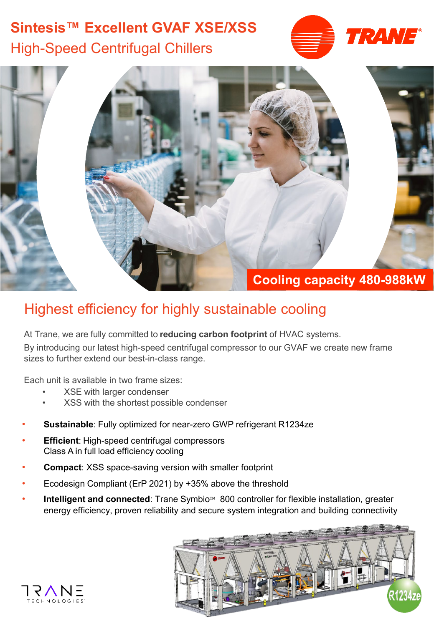## **Sintesis™ Excellent GVAF XSE/XSS** High-Speed Centrifugal Chillers





## Highest efficiency for highly sustainable cooling

At Trane, we are fully committed to **reducing carbon footprint** of HVAC systems.

By introducing our latest high-speed centrifugal compressor to our GVAF we create new frame sizes to further extend our best-in-class range.

Each unit is available in two frame sizes:

- XSE with larger condenser
- XSS with the shortest possible condenser
- **Sustainable**: Fully optimized for near-zero GWP refrigerant R1234ze
- **Efficient: High-speed centrifugal compressors** Class A in full load efficiency cooling
- **Compact**: XSS space-saving version with smaller footprint
- Ecodesign Compliant (ErP 2021) by +35% above the threshold
- **Intelligent and connected**: Trane Symbio<sup>™</sup> 800 controller for flexible installation, greater energy efficiency, proven reliability and secure system integration and building connectivity